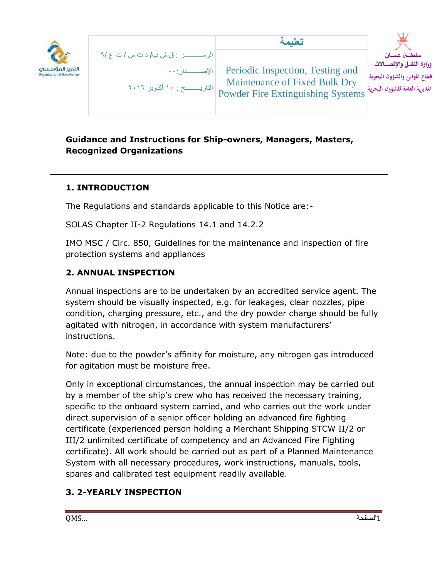

|                                                            | تعليمة                                                                                                        |                                                                                                            |
|------------------------------------------------------------|---------------------------------------------------------------------------------------------------------------|------------------------------------------------------------------------------------------------------------|
| الاصـــــــدار : • •<br> التاريـــــــــخ : ١٠ أكتوبر ٢٠١٦ | Periodic Inspection, Testing and<br>Maintenance of Fixed Bulk Dry<br><b>Powder Fire Extinguishing Systems</b> | سلطنت عمسان<br>وزارة النقـل والإتصــالات<br>قطاع الموانئ والشؤون البحرية<br>المديرية العامة للشؤون البحرية |

## **Guidance and Instructions for Ship-owners, Managers, Masters, Recognized Organizations**

## **1. INTRODUCTION**

The Regulations and standards applicable to this Notice are:-

SOLAS Chapter II-2 Regulations 14.1 and 14.2.2

IMO MSC / Circ. 850, Guidelines for the maintenance and inspection of fire protection systems and appliances

## **2. ANNUAL INSPECTION**

Annual inspections are to be undertaken by an accredited service agent. The system should be visually inspected, e.g. for leakages, clear nozzles, pipe condition, charging pressure, etc., and the dry powder charge should be fully agitated with nitrogen, in accordance with system manufacturers' instructions.

Note: due to the powder's affinity for moisture, any nitrogen gas introduced for agitation must be moisture free.

Only in exceptional circumstances, the annual inspection may be carried out by a member of the ship's crew who has received the necessary training, specific to the onboard system carried, and who carries out the work under direct supervision of a senior officer holding an advanced fire fighting certificate (experienced person holding a Merchant Shipping STCW II/2 or III/2 unlimited certificate of competency and an Advanced Fire Fighting certificate). All work should be carried out as part of a Planned Maintenance System with all necessary procedures, work instructions, manuals, tools, spares and calibrated test equipment readily available.

# **3. 2-YEARLY INSPECTION**